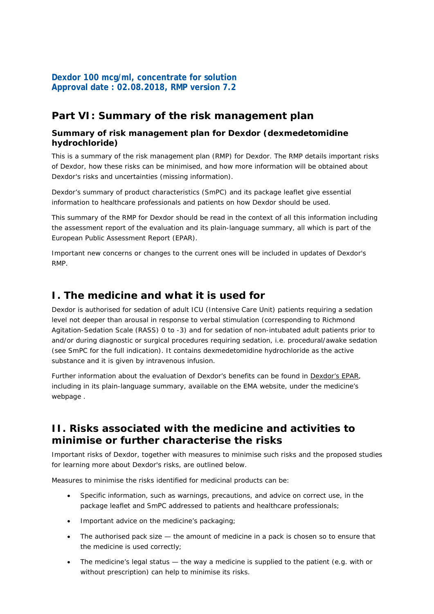# **Dexdor 100 mcg/ml, concentrate for solution Approval date : 02.08.2018, RMP version 7.2**

# **Part VI: Summary of the risk management plan**

### **Summary of risk management plan for Dexdor (dexmedetomidine hydrochloride)**

This is a summary of the risk management plan (RMP) for Dexdor. The RMP details important risks of Dexdor, how these risks can be minimised, and how more information will be obtained about Dexdor's risks and uncertainties (missing information).

Dexdor's summary of product characteristics (SmPC) and its package leaflet give essential information to healthcare professionals and patients on how Dexdor should be used.

This summary of the RMP for Dexdor should be read in the context of all this information including the assessment report of the evaluation and its plain-language summary, all which is part of the European Public Assessment Report (EPAR).

Important new concerns or changes to the current ones will be included in updates of Dexdor's RMP.

# **I. The medicine and what it is used for**

Dexdor is authorised for sedation of adult ICU (Intensive Care Unit) patients requiring a sedation level not deeper than arousal in response to verbal stimulation (corresponding to Richmond Agitation-Sedation Scale (RASS) 0 to -3) and for sedation of non-intubated adult patients prior to and/or during diagnostic or surgical procedures requiring sedation, i.e. procedural/awake sedation (see SmPC for the full indication). It contains dexmedetomidine hydrochloride as the active substance and it is given by intravenous infusion.

Further information about the evaluation of Dexdor's benefits can be found in [Dexdor's EPAR,](http://www.ema.europa.eu/ema/index.jsp?curl=pages/medicines/human/medicines/002268/human_med_001485.jsp&mid=WC0b01ac058001d124) including in its plain-language summary, available on the EMA website, under the medicine's webpage .

# **II. Risks associated with the medicine and activities to minimise or further characterise the risks**

Important risks of Dexdor, together with measures to minimise such risks and the proposed studies for learning more about Dexdor's risks, are outlined below.

Measures to minimise the risks identified for medicinal products can be:

- Specific information, such as warnings, precautions, and advice on correct use, in the package leaflet and SmPC addressed to patients and healthcare professionals;
- Important advice on the medicine's packaging;
- The authorised pack size  $-$  the amount of medicine in a pack is chosen so to ensure that the medicine is used correctly;
- The medicine's legal status  $-$  the way a medicine is supplied to the patient (e.g. with or without prescription) can help to minimise its risks.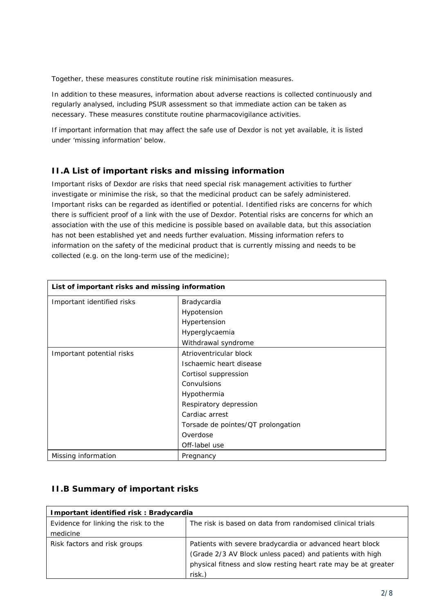Together, these measures constitute *routine risk minimisation* measures.

In addition to these measures, information about adverse reactions is collected continuously and regularly analysed, including PSUR assessment so that immediate action can be taken as necessary. These measures constitute *routine pharmacovigilance activities*.

If important information that may affect the safe use of Dexdor is not yet available, it is listed under 'missing information' below.

## **II.A List of important risks and missing information**

Important risks of Dexdor are risks that need special risk management activities to further investigate or minimise the risk, so that the medicinal product can be safely administered. Important risks can be regarded as identified or potential. Identified risks are concerns for which there is sufficient proof of a link with the use of Dexdor. Potential risks are concerns for which an association with the use of this medicine is possible based on available data, but this association has not been established yet and needs further evaluation. Missing information refers to information on the safety of the medicinal product that is currently missing and needs to be collected (e.g. on the long-term use of the medicine);

| List of important risks and missing information |                                    |
|-------------------------------------------------|------------------------------------|
| Important identified risks                      | Bradycardia                        |
|                                                 | Hypotension                        |
|                                                 | Hypertension                       |
|                                                 | Hyperglycaemia                     |
|                                                 | Withdrawal syndrome                |
| Important potential risks                       | Atrioventricular block             |
|                                                 | Ischaemic heart disease            |
|                                                 | Cortisol suppression               |
|                                                 | Convulsions                        |
|                                                 | Hypothermia                        |
|                                                 | Respiratory depression             |
|                                                 | Cardiac arrest                     |
|                                                 | Torsade de pointes/QT prolongation |
|                                                 | Overdose                           |
|                                                 | Off-label use                      |
| Missing information                             | Pregnancy                          |

# **II.B Summary of important risks**

| Important identified risk: Bradycardia |                                                                |
|----------------------------------------|----------------------------------------------------------------|
| Evidence for linking the risk to the   | The risk is based on data from randomised clinical trials      |
| medicine                               |                                                                |
| Risk factors and risk groups           | Patients with severe bradycardia or advanced heart block       |
|                                        | (Grade 2/3 AV Block unless paced) and patients with high       |
|                                        | physical fitness and slow resting heart rate may be at greater |
|                                        | risk.)                                                         |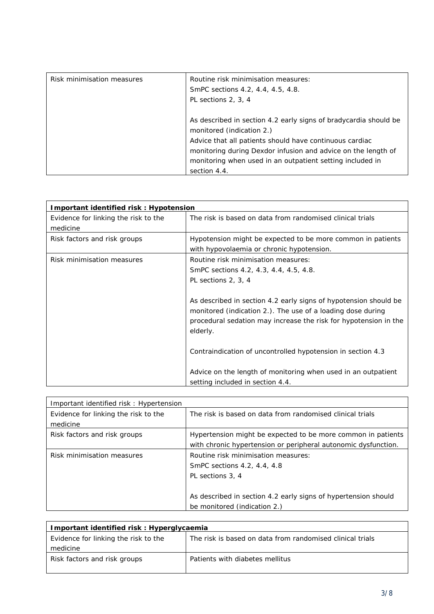| Risk minimisation measures | Routine risk minimisation measures:<br>SmPC sections 4.2, 4.4, 4.5, 4.8.<br>PL sections 2, 3, 4                                                                                                                                                                                                        |
|----------------------------|--------------------------------------------------------------------------------------------------------------------------------------------------------------------------------------------------------------------------------------------------------------------------------------------------------|
|                            | As described in section 4.2 early signs of bradycardia should be<br>monitored (indication 2.)<br>Advice that all patients should have continuous cardiac<br>monitoring during Dexdor infusion and advice on the length of<br>monitoring when used in an outpatient setting included in<br>section 4.4. |

| Important identified risk: Hypotension |                                                                  |
|----------------------------------------|------------------------------------------------------------------|
| Evidence for linking the risk to the   | The risk is based on data from randomised clinical trials        |
| medicine                               |                                                                  |
| Risk factors and risk groups           | Hypotension might be expected to be more common in patients      |
|                                        | with hypovolaemia or chronic hypotension.                        |
| Risk minimisation measures             | Routine risk minimisation measures:                              |
|                                        | SmPC sections 4.2, 4.3, 4.4, 4.5, 4.8.                           |
|                                        | PL sections 2, 3, 4                                              |
|                                        |                                                                  |
|                                        | As described in section 4.2 early signs of hypotension should be |
|                                        | monitored (indication 2.). The use of a loading dose during      |
|                                        | procedural sedation may increase the risk for hypotension in the |
|                                        | elderly.                                                         |
|                                        |                                                                  |
|                                        | Contraindication of uncontrolled hypotension in section 4.3      |
|                                        |                                                                  |
|                                        | Advice on the length of monitoring when used in an outpatient    |
|                                        | setting included in section 4.4.                                 |

| Important identified risk: Hypertension |                                                                |
|-----------------------------------------|----------------------------------------------------------------|
| Evidence for linking the risk to the    | The risk is based on data from randomised clinical trials      |
| medicine                                |                                                                |
| Risk factors and risk groups            | Hypertension might be expected to be more common in patients   |
|                                         | with chronic hypertension or peripheral autonomic dysfunction. |
| Risk minimisation measures              | Routine risk minimisation measures:                            |
|                                         | SmPC sections 4.2, 4.4, 4.8                                    |
|                                         | PL sections 3, 4                                               |
|                                         |                                                                |
|                                         | As described in section 4.2 early signs of hypertension should |
|                                         | be monitored (indication 2.)                                   |

| Important identified risk: Hyperglycaemia |                                                           |
|-------------------------------------------|-----------------------------------------------------------|
| Evidence for linking the risk to the      | The risk is based on data from randomised clinical trials |
| medicine                                  |                                                           |
| Risk factors and risk groups              | Patients with diabetes mellitus                           |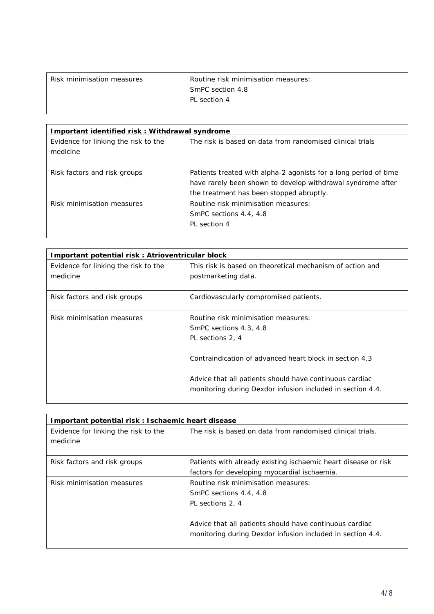| Risk minimisation measures | Routine risk minimisation measures: |
|----------------------------|-------------------------------------|
|                            | <b>SmPC</b> section 4.8             |
|                            | PL section 4                        |
|                            |                                     |

| Important identified risk: Withdrawal syndrome   |                                                                                                                                                                             |
|--------------------------------------------------|-----------------------------------------------------------------------------------------------------------------------------------------------------------------------------|
| Evidence for linking the risk to the<br>medicine | The risk is based on data from randomised clinical trials                                                                                                                   |
| Risk factors and risk groups                     | Patients treated with alpha-2 agonists for a long period of time<br>have rarely been shown to develop withdrawal syndrome after<br>the treatment has been stopped abruptly. |
| Risk minimisation measures                       | Routine risk minimisation measures:<br>SmPC sections 4.4, 4.8<br>PL section 4                                                                                               |

| Important potential risk: Atrioventricular block |                                                                                                                       |
|--------------------------------------------------|-----------------------------------------------------------------------------------------------------------------------|
| Evidence for linking the risk to the<br>medicine | This risk is based on theoretical mechanism of action and<br>postmarketing data.                                      |
| Risk factors and risk groups                     | Cardiovascularly compromised patients.                                                                                |
| Risk minimisation measures                       | Routine risk minimisation measures:<br>SmPC sections 4.3, 4.8<br>PL sections 2, 4                                     |
|                                                  | Contraindication of advanced heart block in section 4.3                                                               |
|                                                  | Advice that all patients should have continuous cardiac<br>monitoring during Dexdor infusion included in section 4.4. |

| Important potential risk: Ischaemic heart disease |                                                                                                                                                                                                            |
|---------------------------------------------------|------------------------------------------------------------------------------------------------------------------------------------------------------------------------------------------------------------|
| Evidence for linking the risk to the<br>medicine  | The risk is based on data from randomised clinical trials.                                                                                                                                                 |
| Risk factors and risk groups                      | Patients with already existing ischaemic heart disease or risk<br>factors for developing myocardial ischaemia.                                                                                             |
| Risk minimisation measures                        | Routine risk minimisation measures:<br>SmPC sections 4.4, 4.8<br>PL sections 2, 4<br>Advice that all patients should have continuous cardiac<br>monitoring during Dexdor infusion included in section 4.4. |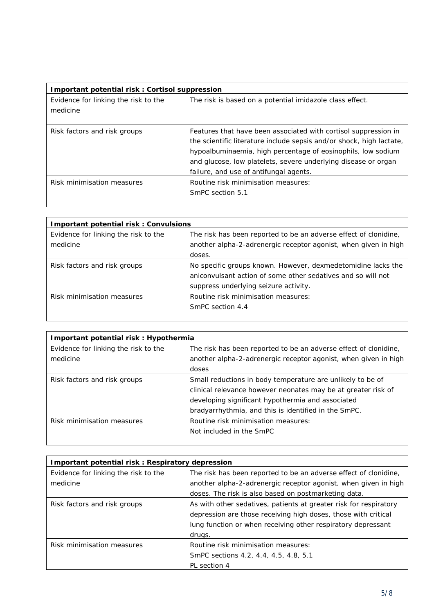| Important potential risk: Cortisol suppression   |                                                                                                                                                                                                                                                                                                                     |
|--------------------------------------------------|---------------------------------------------------------------------------------------------------------------------------------------------------------------------------------------------------------------------------------------------------------------------------------------------------------------------|
| Evidence for linking the risk to the<br>medicine | The risk is based on a potential imidazole class effect.                                                                                                                                                                                                                                                            |
| Risk factors and risk groups                     | Features that have been associated with cortisol suppression in<br>the scientific literature include sepsis and/or shock, high lactate,<br>hypoalbuminaemia, high percentage of eosinophils, low sodium<br>and glucose, low platelets, severe underlying disease or organ<br>failure, and use of antifungal agents. |
| Risk minimisation measures                       | Routine risk minimisation measures:<br>SmPC section 5.1                                                                                                                                                                                                                                                             |

| <b>Important potential risk: Convulsions</b> |                                                                  |
|----------------------------------------------|------------------------------------------------------------------|
| Evidence for linking the risk to the         | The risk has been reported to be an adverse effect of clonidine, |
| medicine                                     | another alpha-2-adrenergic receptor agonist, when given in high  |
|                                              | doses.                                                           |
| Risk factors and risk groups                 | No specific groups known. However, dexmedetomidine lacks the     |
|                                              | aniconvulsant action of some other sedatives and so will not     |
|                                              | suppress underlying seizure activity.                            |
| Risk minimisation measures                   | Routine risk minimisation measures:                              |
|                                              | SmPC section 4.4                                                 |
|                                              |                                                                  |

| Important potential risk: Hypothermia |                                                                  |
|---------------------------------------|------------------------------------------------------------------|
| Evidence for linking the risk to the  | The risk has been reported to be an adverse effect of clonidine, |
| medicine                              | another alpha-2-adrenergic receptor agonist, when given in high  |
|                                       | doses                                                            |
| Risk factors and risk groups          | Small reductions in body temperature are unlikely to be of       |
|                                       | clinical relevance however neonates may be at greater risk of    |
|                                       | developing significant hypothermia and associated                |
|                                       | bradyarrhythmia, and this is identified in the SmPC.             |
| Risk minimisation measures            | Routine risk minimisation measures:                              |
|                                       | Not included in the SmPC                                         |
|                                       |                                                                  |

| Important potential risk: Respiratory depression |                                                                                                                                                                                                     |
|--------------------------------------------------|-----------------------------------------------------------------------------------------------------------------------------------------------------------------------------------------------------|
| Evidence for linking the risk to the             | The risk has been reported to be an adverse effect of clonidine,                                                                                                                                    |
| medicine                                         | another alpha-2-adrenergic receptor agonist, when given in high                                                                                                                                     |
|                                                  | doses. The risk is also based on postmarketing data.                                                                                                                                                |
| Risk factors and risk groups                     | As with other sedatives, patients at greater risk for respiratory<br>depression are those receiving high doses, those with critical<br>lung function or when receiving other respiratory depressant |
|                                                  | drugs.                                                                                                                                                                                              |
| Risk minimisation measures                       | Routine risk minimisation measures:                                                                                                                                                                 |
|                                                  | SmPC sections 4.2, 4.4, 4.5, 4.8, 5.1                                                                                                                                                               |
|                                                  | PL section 4                                                                                                                                                                                        |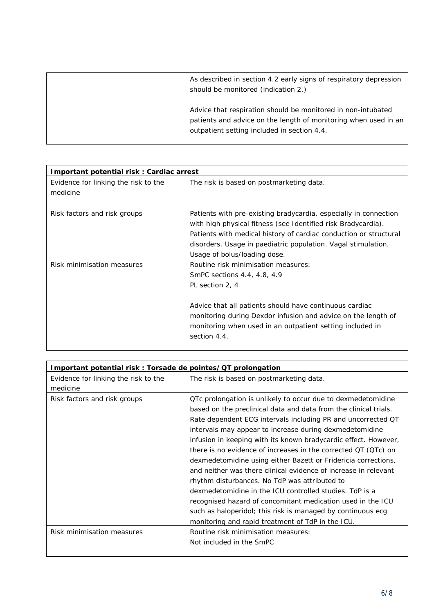| As described in section 4.2 early signs of respiratory depression<br>should be monitored (indication 2.)                                                                       |
|--------------------------------------------------------------------------------------------------------------------------------------------------------------------------------|
| Advice that respiration should be monitored in non-intubated<br>patients and advice on the length of monitoring when used in an<br>outpatient setting included in section 4.4. |

| Important potential risk: Cardiac arrest         |                                                                                                                                                                                                                                                                                                         |
|--------------------------------------------------|---------------------------------------------------------------------------------------------------------------------------------------------------------------------------------------------------------------------------------------------------------------------------------------------------------|
| Evidence for linking the risk to the<br>medicine | The risk is based on postmarketing data.                                                                                                                                                                                                                                                                |
| Risk factors and risk groups                     | Patients with pre-existing bradycardia, especially in connection<br>with high physical fitness (see Identified risk Bradycardia).<br>Patients with medical history of cardiac conduction or structural<br>disorders. Usage in paediatric population. Vagal stimulation.<br>Usage of bolus/loading dose. |
| Risk minimisation measures                       | Routine risk minimisation measures:<br>SmPC sections 4.4, 4.8, 4.9<br>PL section 2, 4<br>Advice that all patients should have continuous cardiac<br>monitoring during Dexdor infusion and advice on the length of<br>monitoring when used in an outpatient setting included in<br>section 4.4.          |

| Important potential risk: Torsade de pointes/QT prolongation |                                                                  |
|--------------------------------------------------------------|------------------------------------------------------------------|
| Evidence for linking the risk to the                         | The risk is based on postmarketing data.                         |
| medicine                                                     |                                                                  |
| Risk factors and risk groups                                 | OTc prolongation is unlikely to occur due to dexmedetomidine     |
|                                                              | based on the preclinical data and data from the clinical trials. |
|                                                              | Rate dependent ECG intervals including PR and uncorrected QT     |
|                                                              | intervals may appear to increase during dexmedetomidine          |
|                                                              | infusion in keeping with its known bradycardic effect. However,  |
|                                                              | there is no evidence of increases in the corrected $QT(QTc)$ on  |
|                                                              | dexmedetomidine using either Bazett or Fridericia corrections,   |
|                                                              | and neither was there clinical evidence of increase in relevant  |
|                                                              | rhythm disturbances. No TdP was attributed to                    |
|                                                              | dexmedetomidine in the ICU controlled studies. TdP is a          |
|                                                              | recognised hazard of concomitant medication used in the ICU      |
|                                                              | such as haloperidol; this risk is managed by continuous ecg      |
|                                                              | monitoring and rapid treatment of TdP in the ICU.                |
| Risk minimisation measures                                   | Routine risk minimisation measures:                              |
|                                                              | Not included in the SmPC                                         |
|                                                              |                                                                  |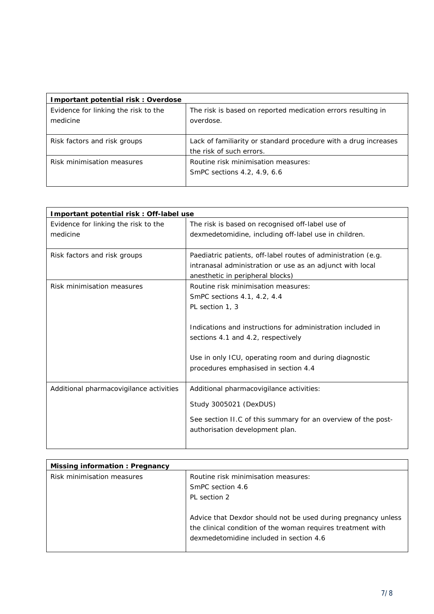| Important potential risk: Overdose               |                                                                                             |
|--------------------------------------------------|---------------------------------------------------------------------------------------------|
| Evidence for linking the risk to the<br>medicine | The risk is based on reported medication errors resulting in<br>overdose.                   |
| Risk factors and risk groups                     | Lack of familiarity or standard procedure with a drug increases<br>the risk of such errors. |
| Risk minimisation measures                       | Routine risk minimisation measures:<br>SmPC sections 4.2, 4.9, 6.6                          |

| Important potential risk: Off-label use |                                                               |
|-----------------------------------------|---------------------------------------------------------------|
| Evidence for linking the risk to the    | The risk is based on recognised off-label use of              |
| medicine                                | dexmedetomidine, including off-label use in children.         |
|                                         |                                                               |
| Risk factors and risk groups            | Paediatric patients, off-label routes of administration (e.g. |
|                                         | intranasal administration or use as an adjunct with local     |
|                                         | anesthetic in peripheral blocks)                              |
| Risk minimisation measures              | Routine risk minimisation measures:                           |
|                                         | SmPC sections 4.1, 4.2, 4.4                                   |
|                                         | PL section 1, 3                                               |
|                                         |                                                               |
|                                         | Indications and instructions for administration included in   |
|                                         | sections 4.1 and 4.2, respectively                            |
|                                         |                                                               |
|                                         | Use in only ICU, operating room and during diagnostic         |
|                                         | procedures emphasised in section 4.4                          |
|                                         |                                                               |
| Additional pharmacovigilance activities | Additional pharmacovigilance activities:                      |
|                                         | Study 3005021 (DexDUS)                                        |
|                                         |                                                               |
|                                         | See section II.C of this summary for an overview of the post- |
|                                         | authorisation development plan.                               |
|                                         |                                                               |
|                                         |                                                               |

| Missing information: Pregnancy |                                                               |
|--------------------------------|---------------------------------------------------------------|
| Risk minimisation measures     | Routine risk minimisation measures:                           |
|                                | SmPC section 4.6                                              |
|                                | PL section 2                                                  |
|                                |                                                               |
|                                | Advice that Dexdor should not be used during pregnancy unless |
|                                | the clinical condition of the woman requires treatment with   |
|                                | dexmedetomidine included in section 4.6                       |
|                                |                                                               |